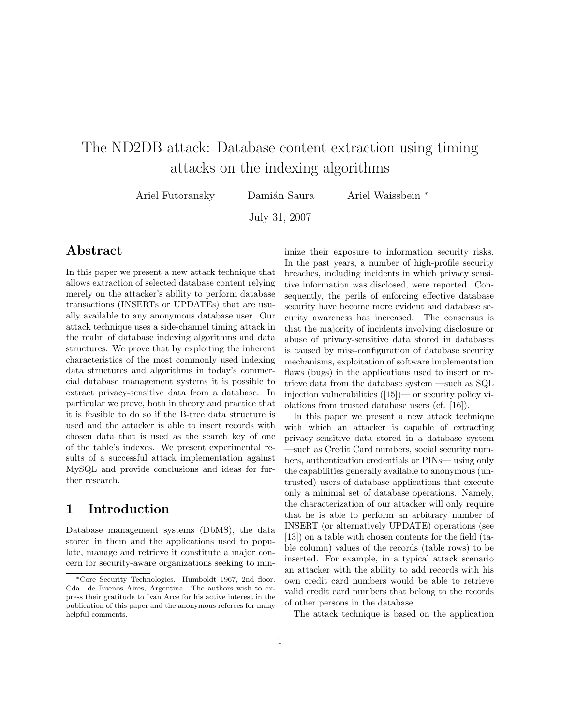# The ND2DB attack: Database content extraction using timing attacks on the indexing algorithms

Ariel Futoransky Damián Saura Ariel Waissbein \*

July 31, 2007

# Abstract

In this paper we present a new attack technique that allows extraction of selected database content relying merely on the attacker's ability to perform database transactions (INSERTs or UPDATEs) that are usually available to any anonymous database user. Our attack technique uses a side-channel timing attack in the realm of database indexing algorithms and data structures. We prove that by exploiting the inherent characteristics of the most commonly used indexing data structures and algorithms in today's commercial database management systems it is possible to extract privacy-sensitive data from a database. In particular we prove, both in theory and practice that it is feasible to do so if the B-tree data structure is used and the attacker is able to insert records with chosen data that is used as the search key of one of the table's indexes. We present experimental results of a successful attack implementation against MySQL and provide conclusions and ideas for further research.

# 1 Introduction

Database management systems (DbMS), the data stored in them and the applications used to populate, manage and retrieve it constitute a major concern for security-aware organizations seeking to minimize their exposure to information security risks. In the past years, a number of high-profile security breaches, including incidents in which privacy sensitive information was disclosed, were reported. Consequently, the perils of enforcing effective database security have become more evident and database security awareness has increased. The consensus is that the majority of incidents involving disclosure or abuse of privacy-sensitive data stored in databases is caused by miss-configuration of database security mechanisms, exploitation of software implementation flaws (bugs) in the applications used to insert or retrieve data from the database system —such as SQL injection vulnerabilities ([15])— or security policy violations from trusted database users (cf. [16]).

In this paper we present a new attack technique with which an attacker is capable of extracting privacy-sensitive data stored in a database system —such as Credit Card numbers, social security numbers, authentication credentials or PINs— using only the capabilities generally available to anonymous (untrusted) users of database applications that execute only a minimal set of database operations. Namely, the characterization of our attacker will only require that he is able to perform an arbitrary number of INSERT (or alternatively UPDATE) operations (see [13]) on a table with chosen contents for the field (table column) values of the records (table rows) to be inserted. For example, in a typical attack scenario an attacker with the ability to add records with his own credit card numbers would be able to retrieve valid credit card numbers that belong to the records of other persons in the database.

The attack technique is based on the application

<sup>∗</sup>Core Security Technologies. Humboldt 1967, 2nd floor. Cda. de Buenos Aires, Argentina. The authors wish to express their gratitude to Ivan Arce for his active interest in the publication of this paper and the anonymous referees for many helpful comments.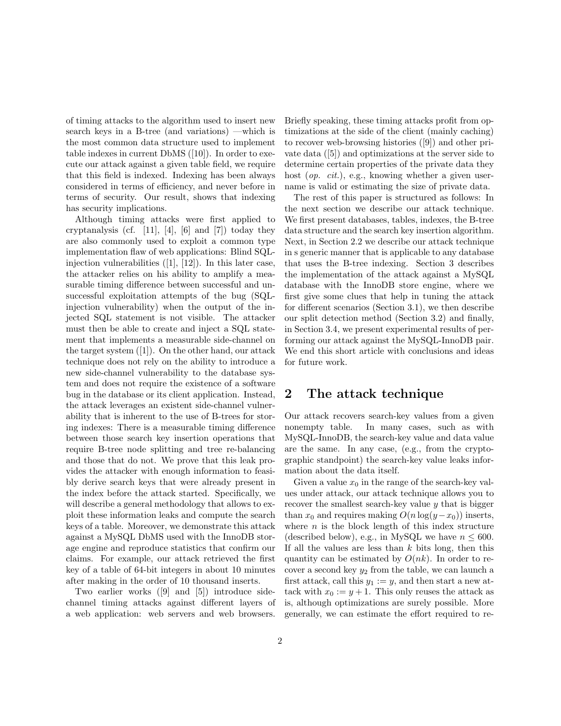of timing attacks to the algorithm used to insert new search keys in a B-tree (and variations) —which is the most common data structure used to implement table indexes in current DbMS ([10]). In order to execute our attack against a given table field, we require that this field is indexed. Indexing has been always considered in terms of efficiency, and never before in terms of security. Our result, shows that indexing has security implications.

Although timing attacks were first applied to cryptanalysis (cf. [11], [4], [6] and [7]) today they are also commonly used to exploit a common type implementation flaw of web applications: Blind SQLinjection vulnerabilities  $([1], [12])$ . In this later case, the attacker relies on his ability to amplify a measurable timing difference between successful and unsuccessful exploitation attempts of the bug (SQLinjection vulnerability) when the output of the injected SQL statement is not visible. The attacker must then be able to create and inject a SQL statement that implements a measurable side-channel on the target system ([1]). On the other hand, our attack technique does not rely on the ability to introduce a new side-channel vulnerability to the database system and does not require the existence of a software bug in the database or its client application. Instead, the attack leverages an existent side-channel vulnerability that is inherent to the use of B-trees for storing indexes: There is a measurable timing difference between those search key insertion operations that require B-tree node splitting and tree re-balancing and those that do not. We prove that this leak provides the attacker with enough information to feasibly derive search keys that were already present in the index before the attack started. Specifically, we will describe a general methodology that allows to exploit these information leaks and compute the search keys of a table. Moreover, we demonstrate this attack against a MySQL DbMS used with the InnoDB storage engine and reproduce statistics that confirm our claims. For example, our attack retrieved the first key of a table of 64-bit integers in about 10 minutes after making in the order of 10 thousand inserts.

Two earlier works ([9] and [5]) introduce sidechannel timing attacks against different layers of a web application: web servers and web browsers.

Briefly speaking, these timing attacks profit from optimizations at the side of the client (mainly caching) to recover web-browsing histories ([9]) and other private data ([5]) and optimizations at the server side to determine certain properties of the private data they host (*op. cit.*), e.g., knowing whether a given username is valid or estimating the size of private data.

The rest of this paper is structured as follows: In the next section we describe our attack technique. We first present databases, tables, indexes, the B-tree data structure and the search key insertion algorithm. Next, in Section 2.2 we describe our attack technique in s generic manner that is applicable to any database that uses the B-tree indexing. Section 3 describes the implementation of the attack against a MySQL database with the InnoDB store engine, where we first give some clues that help in tuning the attack for different scenarios (Section 3.1), we then describe our split detection method (Section 3.2) and finally, in Section 3.4, we present experimental results of performing our attack against the MySQL-InnoDB pair. We end this short article with conclusions and ideas for future work.

### 2 The attack technique

Our attack recovers search-key values from a given nonempty table. In many cases, such as with MySQL-InnoDB, the search-key value and data value are the same. In any case, (e.g., from the cryptographic standpoint) the search-key value leaks information about the data itself.

Given a value  $x_0$  in the range of the search-key values under attack, our attack technique allows you to recover the smallest search-key value  $y$  that is bigger than  $x_0$  and requires making  $O(n \log(y-x_0))$  inserts, where  $n$  is the block length of this index structure (described below), e.g., in MySQL we have  $n \leq 600$ . If all the values are less than  $k$  bits long, then this quantity can be estimated by  $O(nk)$ . In order to recover a second key  $y_2$  from the table, we can launch a first attack, call this  $y_1 := y$ , and then start a new attack with  $x_0 := y + 1$ . This only reuses the attack as is, although optimizations are surely possible. More generally, we can estimate the effort required to re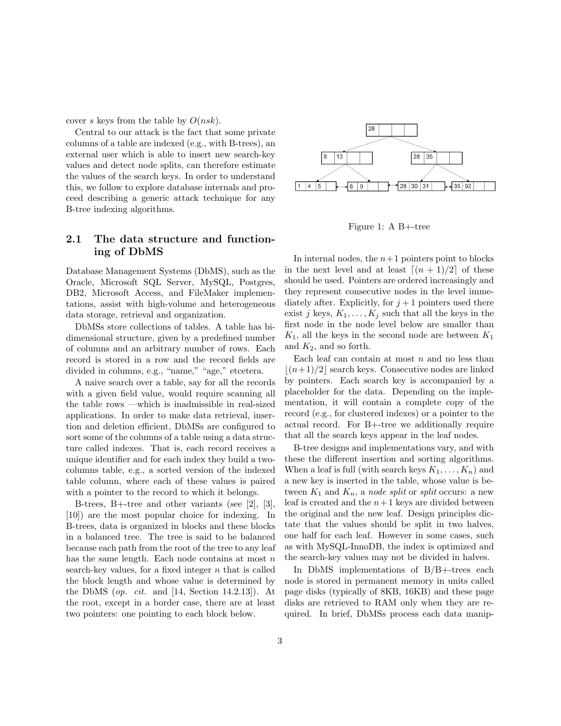cover s keys from the table by  $O(nsk)$ .

Central to our attack is the fact that some private columns of a table are indexed (e.g., with B-trees), an external user which is able to insert new search-key values and detect node splits, can therefore estimate the values of the search keys. In order to understand this, we follow to explore database internals and proceed describing a generic attack technique for any B-tree indexing algorithms.

### 2.1 The data structure and functioning of DbMS

Database Management Systems (DbMS), such as the Oracle, Microsoft SQL Server, MySQL, Postgres, DB2, Microsoft Access, and FileMaker implementations, assist with high-volume and heterogeneous data storage, retrieval and organization.

DbMSs store collections of tables. A table has bidimensional structure, given by a predefined number of columns and an arbitrary number of rows. Each record is stored in a row and the record fields are divided in columns, e.g., "name," "age," etcetera.

A naive search over a table, say for all the records with a given field value, would require scanning all the table rows —which is inadmissible in real-sized applications. In order to make data retrieval, insertion and deletion efficient, DbMSs are configured to sort some of the columns of a table using a data structure called indexes. That is, each record receives a unique identifier and for each index they build a twocolumns table, e.g., a sorted version of the indexed table column, where each of these values is paired with a pointer to the record to which it belongs.

B-trees, B+-tree and other variants (see [2], [3], [10]) are the most popular choice for indexing. In B-trees, data is organized in blocks and these blocks in a balanced tree. The tree is said to be balanced because each path from the root of the tree to any leaf has the same length. Each node contains at most  $n$ search-key values, for a fixed integer  $n$  that is called the block length and whose value is determined by the DbMS (*op. cit.* and [14, Section 14.2.13]). At the root, except in a border case, there are at least two pointers: one pointing to each block below.



Figure 1: A B+-tree

In internal nodes, the  $n+1$  pointers point to blocks in the next level and at least  $(n + 1)/2$  of these should be used. Pointers are ordered increasingly and they represent consecutive nodes in the level immediately after. Explicitly, for  $j+1$  pointers used there exist j keys,  $K_1, \ldots, K_j$  such that all the keys in the first node in the node level below are smaller than  $K_1$ , all the keys in the second node are between  $K_1$ and  $K_2$ , and so forth.

Each leaf can contain at most  $n$  and no less than  $(n+1)/2$  search keys. Consecutive nodes are linked by pointers. Each search key is accompanied by a placeholder for the data. Depending on the implementation, it will contain a complete copy of the record (e.g., for clustered indexes) or a pointer to the actual record. For B+-tree we additionally require that all the search keys appear in the leaf nodes.

B-tree designs and implementations vary, and with these the different insertion and sorting algorithms. When a leaf is full (with search keys  $K_1, \ldots, K_n$ ) and a new key is inserted in the table, whose value is between  $K_1$  and  $K_n$ , a node split or split occurs: a new leaf is created and the  $n+1$  keys are divided between the original and the new leaf. Design principles dictate that the values should be split in two halves, one half for each leaf. However in some cases, such as with MySQL-InnoDB, the index is optimized and the search-key values may not be divided in halves.

In DbMS implementations of B/B+-trees each node is stored in permanent memory in units called page disks (typically of 8KB, 16KB) and these page disks are retrieved to RAM only when they are required. In brief, DbMSs process each data manip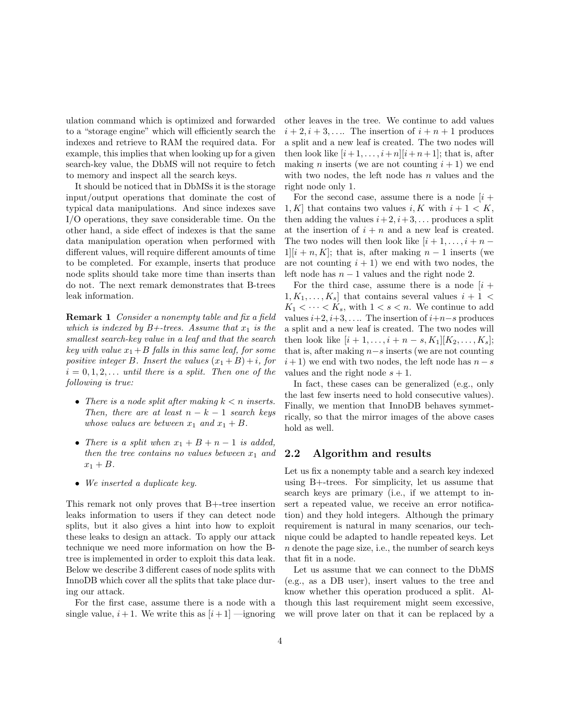ulation command which is optimized and forwarded to a "storage engine" which will efficiently search the indexes and retrieve to RAM the required data. For example, this implies that when looking up for a given search-key value, the DbMS will not require to fetch to memory and inspect all the search keys.

It should be noticed that in DbMSs it is the storage input/output operations that dominate the cost of typical data manipulations. And since indexes save I/O operations, they save considerable time. On the other hand, a side effect of indexes is that the same data manipulation operation when performed with different values, will require different amounts of time to be completed. For example, inserts that produce node splits should take more time than inserts than do not. The next remark demonstrates that B-trees leak information.

Remark 1 Consider a nonempty table and fix a field which is indexed by  $B+$ -trees. Assume that  $x_1$  is the smallest search-key value in a leaf and that the search key with value  $x_1+B$  falls in this same leaf, for some positive integer B. Insert the values  $(x_1+B)+i$ , for  $i = 0, 1, 2, \ldots$  until there is a split. Then one of the following is true:

- There is a node split after making  $k < n$  inserts. Then, there are at least  $n - k - 1$  search keys whose values are between  $x_1$  and  $x_1 + B$ .
- There is a split when  $x_1 + B + n 1$  is added, then the tree contains no values between  $x_1$  and  $x_1 + B$ .
- We inserted a duplicate key.

This remark not only proves that B+-tree insertion leaks information to users if they can detect node splits, but it also gives a hint into how to exploit these leaks to design an attack. To apply our attack technique we need more information on how the Btree is implemented in order to exploit this data leak. Below we describe 3 different cases of node splits with InnoDB which cover all the splits that take place during our attack.

For the first case, assume there is a node with a single value,  $i+1$ . We write this as  $[i+1]$  —ignoring other leaves in the tree. We continue to add values  $i+2, i+3, \ldots$  The insertion of  $i+n+1$  produces a split and a new leaf is created. The two nodes will then look like  $[i+1,\ldots,i+n][i+n+1]$ ; that is, after making *n* inserts (we are not counting  $i + 1$ ) we end with two nodes, the left node has  $n$  values and the right node only 1.

For the second case, assume there is a node  $[i]$  + 1, K that contains two values i, K with  $i+1 < K$ , then adding the values  $i+2, i+3, \ldots$  produces a split at the insertion of  $i + n$  and a new leaf is created. The two nodes will then look like  $[i + 1, \ldots, i + n 1\vert i+n, K\vert$ ; that is, after making  $n-1$  inserts (we are not counting  $i + 1$ ) we end with two nodes, the left node has  $n - 1$  values and the right node 2.

For the third case, assume there is a node  $[i +]$  $1, K_1, \ldots, K_s$  that contains several values  $i + 1$  $K_1 < \cdots < K_s$ , with  $1 < s < n$ . We continue to add values  $i+2, i+3, \ldots$  The insertion of  $i+n-s$  produces a split and a new leaf is created. The two nodes will then look like  $[i + 1, \ldots, i + n - s, K_1][K_2, \ldots, K_s]$ ; that is, after making  $n-s$  inserts (we are not counting  $i+1$ ) we end with two nodes, the left node has  $n-s$ values and the right node  $s + 1$ .

In fact, these cases can be generalized (e.g., only the last few inserts need to hold consecutive values). Finally, we mention that InnoDB behaves symmetrically, so that the mirror images of the above cases hold as well.

#### 2.2 Algorithm and results

Let us fix a nonempty table and a search key indexed using B+-trees. For simplicity, let us assume that search keys are primary (i.e., if we attempt to insert a repeated value, we receive an error notification) and they hold integers. Although the primary requirement is natural in many scenarios, our technique could be adapted to handle repeated keys. Let n denote the page size, i.e., the number of search keys that fit in a node.

Let us assume that we can connect to the DbMS (e.g., as a DB user), insert values to the tree and know whether this operation produced a split. Although this last requirement might seem excessive, we will prove later on that it can be replaced by a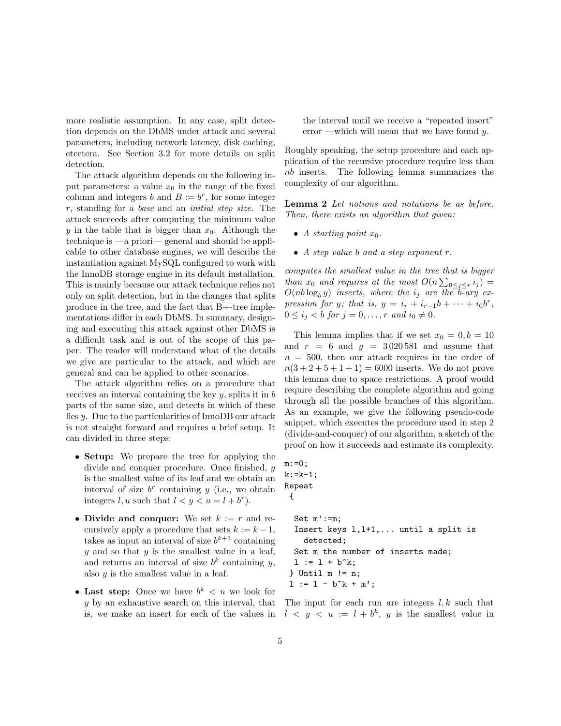more realistic assumption. In any case, split detection depends on the DbMS under attack and several parameters, including network latency, disk caching, etcetera. See Section 3.2 for more details on split detection.

The attack algorithm depends on the following input parameters: a value  $x_0$  in the range of the fixed column and integers b and  $B := b^r$ , for some integer r, standing for a base and an initial step size. The attack succeeds after computing the minimum value y in the table that is bigger than  $x_0$ . Although the technique is —a priori— general and should be applicable to other database engines, we will describe the instantiation against MySQL configured to work with the InnoDB storage engine in its default installation. This is mainly because our attack technique relies not only on split detection, but in the changes that splits produce in the tree, and the fact that B+-tree implementations differ in each DbMS. In summary, designing and executing this attack against other DbMS is a difficult task and is out of the scope of this paper. The reader will understand what of the details we give are particular to the attack, and which are general and can be applied to other scenarios.

The attack algorithm relies on a procedure that receives an interval containing the key  $y$ , splits it in  $b$ parts of the same size, and detects in which of these lies y. Due to the particularities of InnoDB our attack is not straight forward and requires a brief setup. It can divided in three steps:

- Setup: We prepare the tree for applying the divide and conquer procedure. Once finished, y is the smallest value of its leaf and we obtain an interval of size  $b^r$  containing y (i.e., we obtain integers l, u such that  $l < y < u = l + b^r$ .
- Divide and conquer: We set  $k := r$  and recursively apply a procedure that sets  $k := k - 1$ , takes as input an interval of size  $b^{k+1}$  containing  $y$  and so that  $y$  is the smallest value in a leaf, and returns an interval of size  $b^k$  containing y, also  $y$  is the smallest value in a leaf.
- Last step: Once we have  $b^k < n$  we look for y by an exhaustive search on this interval, that is, we make an insert for each of the values in

the interval until we receive a "repeated insert" error —which will mean that we have found  $y$ .

Roughly speaking, the setup procedure and each application of the recursive procedure require less than nb inserts. The following lemma summarizes the complexity of our algorithm.

Lemma 2 Let notions and notations be as before. Then, there exists an algorithm that given:

- A starting point  $x_0$ .
- A step value b and a step exponent r.

computes the smallest value in the tree that is bigger than  $x_0$  and requires at the most  $O(n \sum_{0 \leq j \leq r} i_j)$  =  $O(nb \log_b y)$  inserts, where the  $i_j$  are the b-ary expression for y; that is,  $y = i_r + i_{r-1}b + \cdots + i_0b^r$ ,  $0 \leq i_j < b$  for  $j = 0, \ldots, r$  and  $i_0 \neq 0$ .

This lemma implies that if we set  $x_0 = 0, b = 10$ and  $r = 6$  and  $y = 3020581$  and assume that  $n = 500$ , then our attack requires in the order of  $n(3 + 2 + 5 + 1 + 1) = 6000$  inserts. We do not prove this lemma due to space restrictions. A proof would require describing the complete algorithm and going through all the possible branches of this algorithm. As an example, we give the following pseudo-code snippet, which executes the procedure used in step 2 (divide-and-conquer) of our algorithm, a sketch of the proof on how it succeeds and estimate its complexity.

```
m := 0;k:=k-1;Repeat
{
 Set m':=m;
 Insert keys l,l+1,... until a split is
   detected;
 Set m the number of inserts made;
 l := l + b^k;} Until m != n;
1 := 1 - b^k + m';
```
The input for each run are integers  $l, k$  such that  $l \leq y \leq u := l + b^k$ , y is the smallest value in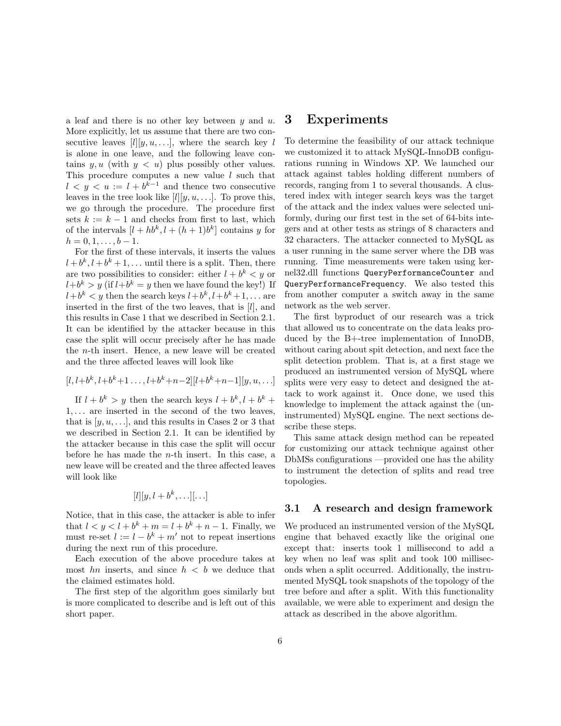a leaf and there is no other key between  $y$  and  $u$ . More explicitly, let us assume that there are two consecutive leaves  $[l][y, u, \ldots]$ , where the search key l is alone in one leave, and the following leave contains y, u (with  $y < u$ ) plus possibly other values. This procedure computes a new value  $l$  such that  $l \leq y \leq u := l + b^{k-1}$  and thence two consecutive leaves in the tree look like  $[l][y, u, \ldots]$ . To prove this, we go through the procedure. The procedure first sets  $k := k - 1$  and checks from first to last, which of the intervals  $[l + hb^k, l + (h + 1)b^k]$  contains y for  $h = 0, 1, \ldots, b - 1.$ 

For the first of these intervals, it inserts the values  $l + b^k, l + b^k + 1, \ldots$  until there is a split. Then, there are two possibilities to consider: either  $l + b^k < y$  or  $l+b^k > y$  (if  $l+b^k = y$  then we have found the key!) If  $l+b^k < y$  then the search keys  $l+b^k, l+b^k+1, \ldots$  are inserted in the first of the two leaves, that is [l], and this results in Case 1 that we described in Section 2.1. It can be identified by the attacker because in this case the split will occur precisely after he has made the n-th insert. Hence, a new leave will be created and the three affected leaves will look like

$$
[l, l+b^k, l+b^k+1, \ldots, l+b^k+n-2][l+b^k+n-1][y, u, \ldots]
$$

If  $l + b^k > y$  then the search keys  $l + b^k$ ,  $l + b^k +$ 1, . . . are inserted in the second of the two leaves, that is  $[y, u, \ldots]$ , and this results in Cases 2 or 3 that we described in Section 2.1. It can be identified by the attacker because in this case the split will occur before he has made the  $n$ -th insert. In this case, a new leave will be created and the three affected leaves will look like

$$
[l][y, l+b^k, \ldots][\ldots]
$$

Notice, that in this case, the attacker is able to infer that  $l < y < l + b^k + m = l + b^k + n - 1$ . Finally, we must re-set  $l := l - b^k + m'$  not to repeat insertions during the next run of this procedure.

Each execution of the above procedure takes at most hn inserts, and since  $h < b$  we deduce that the claimed estimates hold.

The first step of the algorithm goes similarly but is more complicated to describe and is left out of this short paper.

### 3 Experiments

To determine the feasibility of our attack technique we customized it to attack MySQL-InnoDB configurations running in Windows XP. We launched our attack against tables holding different numbers of records, ranging from 1 to several thousands. A clustered index with integer search keys was the target of the attack and the index values were selected uniformly, during our first test in the set of 64-bits integers and at other tests as strings of 8 characters and 32 characters. The attacker connected to MySQL as a user running in the same server where the DB was running. Time measurements were taken using kernel32.dll functions QueryPerformanceCounter and QueryPerformanceFrequency. We also tested this from another computer a switch away in the same network as the web server.

The first byproduct of our research was a trick that allowed us to concentrate on the data leaks produced by the B+-tree implementation of InnoDB, without caring about spit detection, and next face the split detection problem. That is, at a first stage we produced an instrumented version of MySQL where splits were very easy to detect and designed the attack to work against it. Once done, we used this knowledge to implement the attack against the (uninstrumented) MySQL engine. The next sections describe these steps.

This same attack design method can be repeated for customizing our attack technique against other DbMSs configurations —provided one has the ability to instrument the detection of splits and read tree topologies.

#### 3.1 A research and design framework

We produced an instrumented version of the MySQL engine that behaved exactly like the original one except that: inserts took 1 millisecond to add a key when no leaf was split and took 100 milliseconds when a split occurred. Additionally, the instrumented MySQL took snapshots of the topology of the tree before and after a split. With this functionality available, we were able to experiment and design the attack as described in the above algorithm.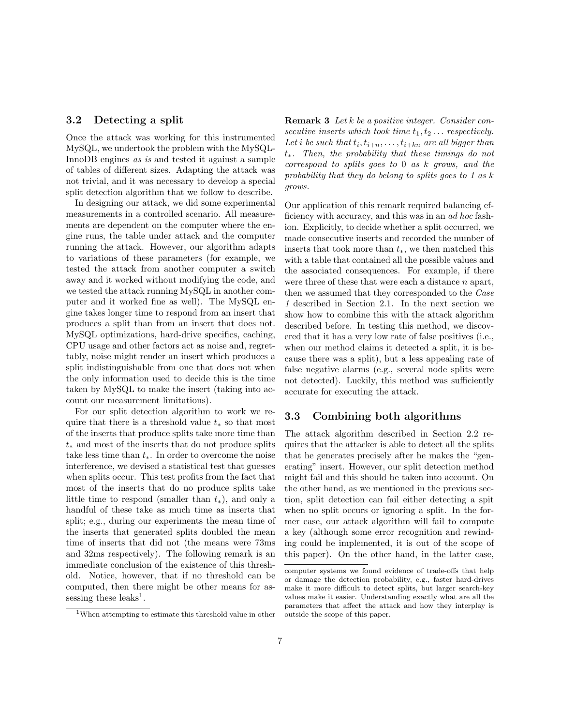#### 3.2 Detecting a split

Once the attack was working for this instrumented MySQL, we undertook the problem with the MySQL-InnoDB engines as is and tested it against a sample of tables of different sizes. Adapting the attack was not trivial, and it was necessary to develop a special split detection algorithm that we follow to describe.

In designing our attack, we did some experimental measurements in a controlled scenario. All measurements are dependent on the computer where the engine runs, the table under attack and the computer running the attack. However, our algorithm adapts to variations of these parameters (for example, we tested the attack from another computer a switch away and it worked without modifying the code, and we tested the attack running MySQL in another computer and it worked fine as well). The MySQL engine takes longer time to respond from an insert that produces a split than from an insert that does not. MySQL optimizations, hard-drive specifics, caching, CPU usage and other factors act as noise and, regrettably, noise might render an insert which produces a split indistinguishable from one that does not when the only information used to decide this is the time taken by MySQL to make the insert (taking into account our measurement limitations).

For our split detection algorithm to work we require that there is a threshold value  $t_*$  so that most of the inserts that produce splits take more time than  $t<sub>*</sub>$  and most of the inserts that do not produce splits take less time than  $t_$ . In order to overcome the noise interference, we devised a statistical test that guesses when splits occur. This test profits from the fact that most of the inserts that do no produce splits take little time to respond (smaller than  $t_*$ ), and only a handful of these take as much time as inserts that split; e.g., during our experiments the mean time of the inserts that generated splits doubled the mean time of inserts that did not (the means were 73ms and 32ms respectively). The following remark is an immediate conclusion of the existence of this threshold. Notice, however, that if no threshold can be computed, then there might be other means for assessing these leaks<sup>1</sup>.

 $^{\rm 1}$  When attempting to estimate this threshold value in other

Remark 3 Let k be a positive integer. Consider consecutive inserts which took time  $t_1, t_2 \ldots$  respectively. Let i be such that  $t_i, t_{i+n}, \ldots, t_{i+kn}$  are all bigger than  $t_{*}$ . Then, the probability that these timings do not correspond to splits goes to 0 as k grows, and the probability that they do belong to splits goes to 1 as k grows.

Our application of this remark required balancing efficiency with accuracy, and this was in an ad hoc fashion. Explicitly, to decide whether a split occurred, we made consecutive inserts and recorded the number of inserts that took more than  $t_*,$  we then matched this with a table that contained all the possible values and the associated consequences. For example, if there were three of these that were each a distance n apart, then we assumed that they corresponded to the Case 1 described in Section 2.1. In the next section we show how to combine this with the attack algorithm described before. In testing this method, we discovered that it has a very low rate of false positives (i.e., when our method claims it detected a split, it is because there was a split), but a less appealing rate of false negative alarms (e.g., several node splits were not detected). Luckily, this method was sufficiently accurate for executing the attack.

#### 3.3 Combining both algorithms

The attack algorithm described in Section 2.2 requires that the attacker is able to detect all the splits that he generates precisely after he makes the "generating" insert. However, our split detection method might fail and this should be taken into account. On the other hand, as we mentioned in the previous section, split detection can fail either detecting a spit when no split occurs or ignoring a split. In the former case, our attack algorithm will fail to compute a key (although some error recognition and rewinding could be implemented, it is out of the scope of this paper). On the other hand, in the latter case,

computer systems we found evidence of trade-offs that help or damage the detection probability, e.g., faster hard-drives make it more difficult to detect splits, but larger search-key values make it easier. Understanding exactly what are all the parameters that affect the attack and how they interplay is outside the scope of this paper.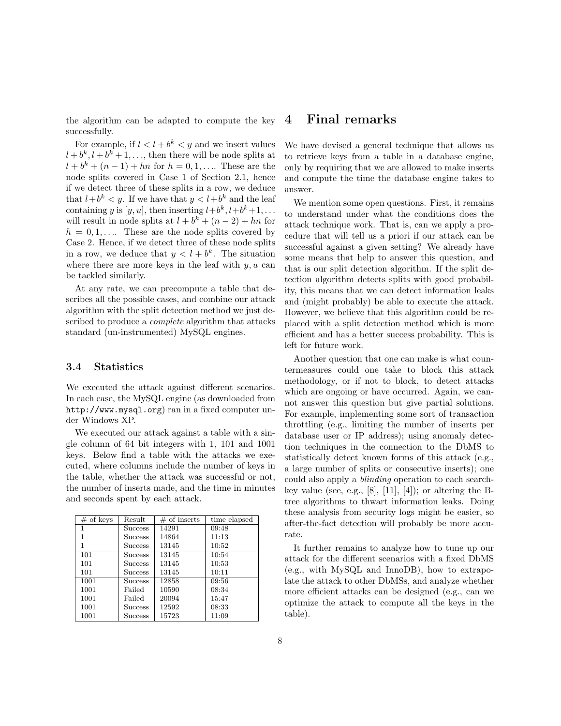the algorithm can be adapted to compute the key successfully.

For example, if  $l < l + b^k < y$  and we insert values  $l + b^k, l + b^k + 1, \ldots$ , then there will be node splits at  $l + b^{k} + (n - 1) + hn$  for  $h = 0, 1, ...$  These are the node splits covered in Case 1 of Section 2.1, hence if we detect three of these splits in a row, we deduce that  $l + b^k < y$ . If we have that  $y < l + b^k$  and the leaf containing y is  $[y, u]$ , then inserting  $l+b^k, l+b^k+1, \ldots$ will result in node splits at  $l + b^k + (n - 2) + hn$  for  $h = 0, 1, \ldots$  These are the node splits covered by Case 2. Hence, if we detect three of these node splits in a row, we deduce that  $y < l + b^k$ . The situation where there are more keys in the leaf with  $y, u$  can be tackled similarly.

At any rate, we can precompute a table that describes all the possible cases, and combine our attack algorithm with the split detection method we just described to produce a complete algorithm that attacks standard (un-instrumented) MySQL engines.

#### 3.4 Statistics

We executed the attack against different scenarios. In each case, the MySQL engine (as downloaded from http://www.mysql.org) ran in a fixed computer under Windows XP.

We executed our attack against a table with a single column of 64 bit integers with 1, 101 and 1001 keys. Below find a table with the attacks we executed, where columns include the number of keys in the table, whether the attack was successful or not, the number of inserts made, and the time in minutes and seconds spent by each attack.

| $#$ of keys | Result         | $\#$ of inserts | time elapsed |
|-------------|----------------|-----------------|--------------|
| 1           | <b>Success</b> | 14291           | 09:48        |
|             | <b>Success</b> | 14864           | 11:13        |
| 1           | <b>Success</b> | 13145           | 10:52        |
| 101         | Success        | 13145           | 10:54        |
| 101         | <b>Success</b> | 13145           | 10:53        |
| 101         | <b>Success</b> | 13145           | 10:11        |
| 1001        | Success        | 12858           | 09:56        |
| 1001        | Failed         | 10590           | 08:34        |
| 1001        | Failed         | 20094           | 15:47        |
| 1001        | <b>Success</b> | 12592           | 08:33        |
| 1001        | <b>Success</b> | 15723           | 11:09        |

## 4 Final remarks

We have devised a general technique that allows us to retrieve keys from a table in a database engine, only by requiring that we are allowed to make inserts and compute the time the database engine takes to answer.

We mention some open questions. First, it remains to understand under what the conditions does the attack technique work. That is, can we apply a procedure that will tell us a priori if our attack can be successful against a given setting? We already have some means that help to answer this question, and that is our split detection algorithm. If the split detection algorithm detects splits with good probability, this means that we can detect information leaks and (might probably) be able to execute the attack. However, we believe that this algorithm could be replaced with a split detection method which is more efficient and has a better success probability. This is left for future work.

Another question that one can make is what countermeasures could one take to block this attack methodology, or if not to block, to detect attacks which are ongoing or have occurred. Again, we cannot answer this question but give partial solutions. For example, implementing some sort of transaction throttling (e.g., limiting the number of inserts per database user or IP address); using anomaly detection techniques in the connection to the DbMS to statistically detect known forms of this attack (e.g., a large number of splits or consecutive inserts); one could also apply a blinding operation to each searchkey value (see, e.g.,  $[8]$ ,  $[11]$ ,  $[4]$ ); or altering the Btree algorithms to thwart information leaks. Doing these analysis from security logs might be easier, so after-the-fact detection will probably be more accurate.

It further remains to analyze how to tune up our attack for the different scenarios with a fixed DbMS (e.g., with MySQL and InnoDB), how to extrapolate the attack to other DbMSs, and analyze whether more efficient attacks can be designed (e.g., can we optimize the attack to compute all the keys in the table).